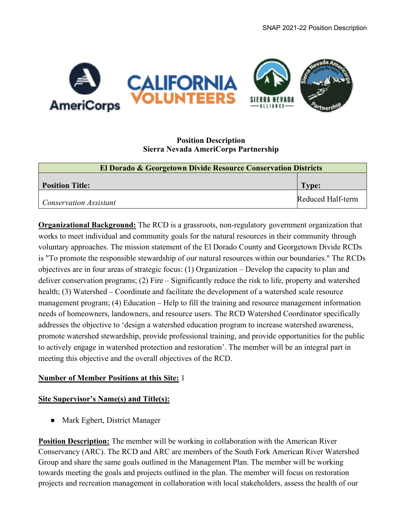

## **Position Description Sierra Nevada AmeriCorps Partnership**

| El Dorado & Georgetown Divide Resource Conservation Districts |                   |  |  |
|---------------------------------------------------------------|-------------------|--|--|
| <b>Position Title:</b>                                        | Type:             |  |  |
| <b>Conservation Assistant</b>                                 | Reduced Half-term |  |  |

**Organizational Background:** The RCD is a grassroots, non-regulatory government organization that works to meet individual and community goals for the natural resources in their community through voluntary approaches. The mission statement of the El Dorado County and Georgetown Divide RCDs is "To promote the responsible stewardship of our natural resources within our boundaries." The RCDs objectives are in four areas of strategic focus: (1) Organization – Develop the capacity to plan and deliver conservation programs; (2) Fire – Significantly reduce the risk to life, property and watershed health; (3) Watershed – Coordinate and facilitate the development of a watershed scale resource management program; (4) Education – Help to fill the training and resource management information needs of homeowners, landowners, and resource users. The RCD Watershed Coordinator specifically addresses the objective to 'design a watershed education program to increase watershed awareness, promote watershed stewardship, provide professional training, and provide opportunities for the public to actively engage in watershed protection and restoration'. The member will be an integral part in meeting this objective and the overall objectives of the RCD.

## **Number of Member Positions at this Site:** 1

## **Site Supervisor's Name(s) and Title(s):**

● Mark Egbert, District Manager

**Position Description:** The member will be working in collaboration with the American River Conservancy (ARC). The RCD and ARC are members of the South Fork American River Watershed Group and share the same goals outlined in the Management Plan. The member will be working towards meeting the goals and projects outlined in the plan. The member will focus on restoration projects and recreation management in collaboration with local stakeholders, assess the health of our